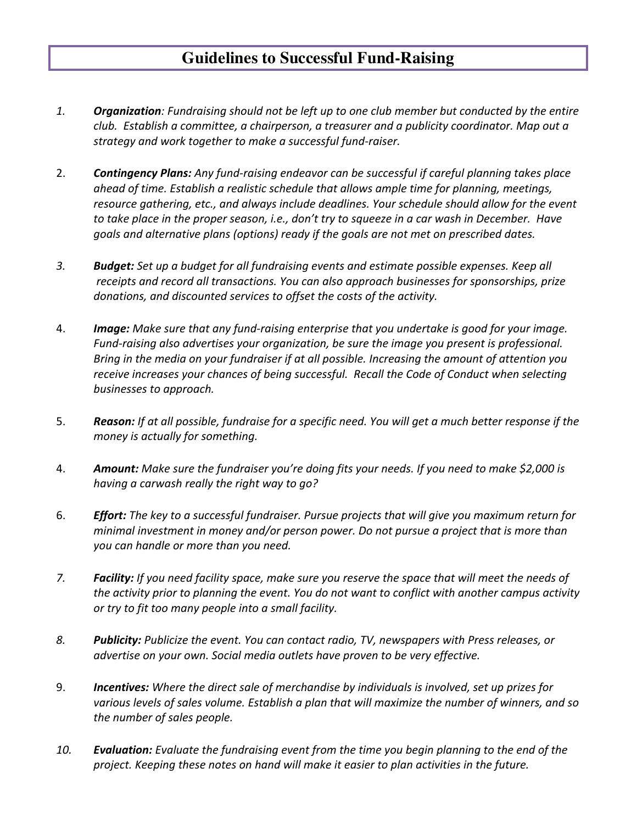## **Guidelines to Successful Fund-Raising**

- 1. *Organization: Fundraising should not be left up to one club member but conducted by the entire club. Establish a committee, a chairperson, a treasurer and a publicity coordinator. Map out a strategy and work together to make a successful fund-raiser.*
- 2. **Contingency Plans:** Any fund-raising endeavor can be successful if careful planning takes place ahead of time. Establish a realistic schedule that allows ample time for planning, meetings, resource gathering, etc., and always include deadlines. Your schedule should allow for the event to take place in the proper season, i.e., don't try to squeeze in a car wash in December. Have goals and alternative plans (options) ready if the goals are not met on prescribed dates.
- 3. *Budget: Set up a budget for all fundraising events and estimate possible expenses. Keep all* receipts and record all transactions. You can also approach businesses for sponsorships, prize donations, and discounted services to offset the costs of the activity.
- 4. **Image:** Make sure that any fund-raising enterprise that you undertake is good for your image. *Fund-raising also advertises your organization, be sure the image you present is professional. Bring* in the media on your fundraiser if at all possible. Increasing the amount of attention you receive increases your chances of being successful. Recall the Code of Conduct when selecting *businesses to approach.*
- 5. **Reason:** If at all possible, fundraise for a specific need. You will get a much better response if the *money is actually for something.*
- 4. **Amount:** Make sure the fundraiser you're doing fits your needs. If you need to make \$2,000 is having a carwash really the right way to go?
- 6. *Effort: The key to a successful fundraiser. Pursue projects that will give you maximum return for minimal investment in money and/or person power. Do not pursue a project that is more than you* can handle or more than you need.
- 7. *Facility:* If you need facility space, make sure you reserve the space that will meet the needs of *the activity prior to planning the event. You do not want to conflict with another campus activity or* try to fit too many people into a small facility.
- 8. **Publicity:** Publicize the event. You can contact radio, TV, newspapers with Press releases, or *advertise* on your own. Social media outlets have proven to be very effective.
- 9. **Incentives:** Where the direct sale of merchandise by individuals is involved, set up prizes for various levels of sales volume. Establish a plan that will maximize the number of winners, and so *the number of sales people.*
- 10. *Evaluation: Evaluate the fundraising event from the time you begin planning to the end of the* project. Keeping these notes on hand will make it easier to plan activities in the future.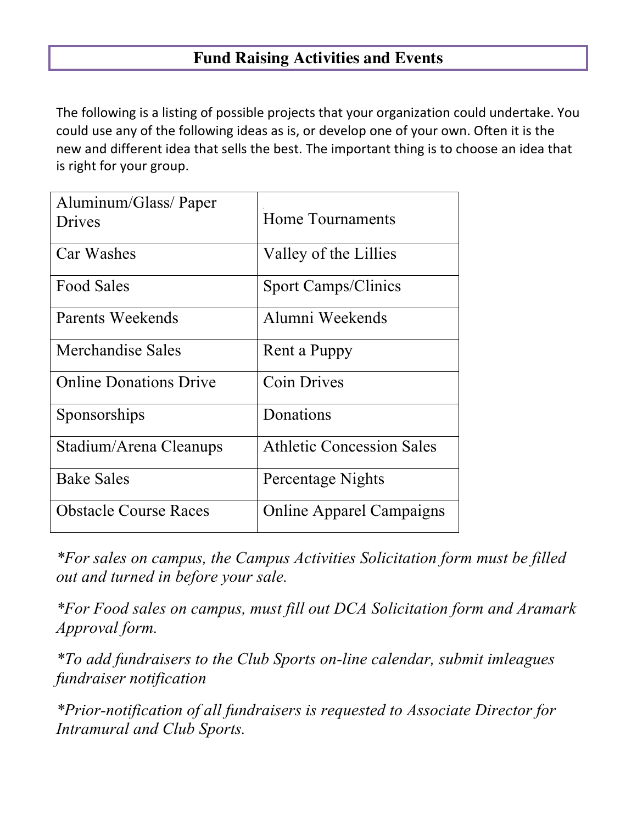## **Fund Raising Activities and Events**

The following is a listing of possible projects that your organization could undertake. You could use any of the following ideas as is, or develop one of your own. Often it is the new and different idea that sells the best. The important thing is to choose an idea that is right for your group.

| Aluminum/Glass/Paper<br>Drives | Home Tournaments                 |
|--------------------------------|----------------------------------|
| Car Washes                     | Valley of the Lillies            |
| <b>Food Sales</b>              | <b>Sport Camps/Clinics</b>       |
| Parents Weekends               | Alumni Weekends                  |
| Merchandise Sales              | Rent a Puppy                     |
| <b>Online Donations Drive</b>  | <b>Coin Drives</b>               |
| Sponsorships                   | Donations                        |
| Stadium/Arena Cleanups         | <b>Athletic Concession Sales</b> |
| <b>Bake Sales</b>              | Percentage Nights                |
| <b>Obstacle Course Races</b>   | <b>Online Apparel Campaigns</b>  |

*\*For sales on campus, the Campus Activities Solicitation form must be filled out and turned in before your sale.*

*\*For Food sales on campus, must fill out DCA Solicitation form and Aramark Approval form.*

*\*To add fundraisers to the Club Sports on-line calendar, submit imleagues fundraiser notification*

*\*Prior-notification of all fundraisers is requested to Associate Director for Intramural and Club Sports.*